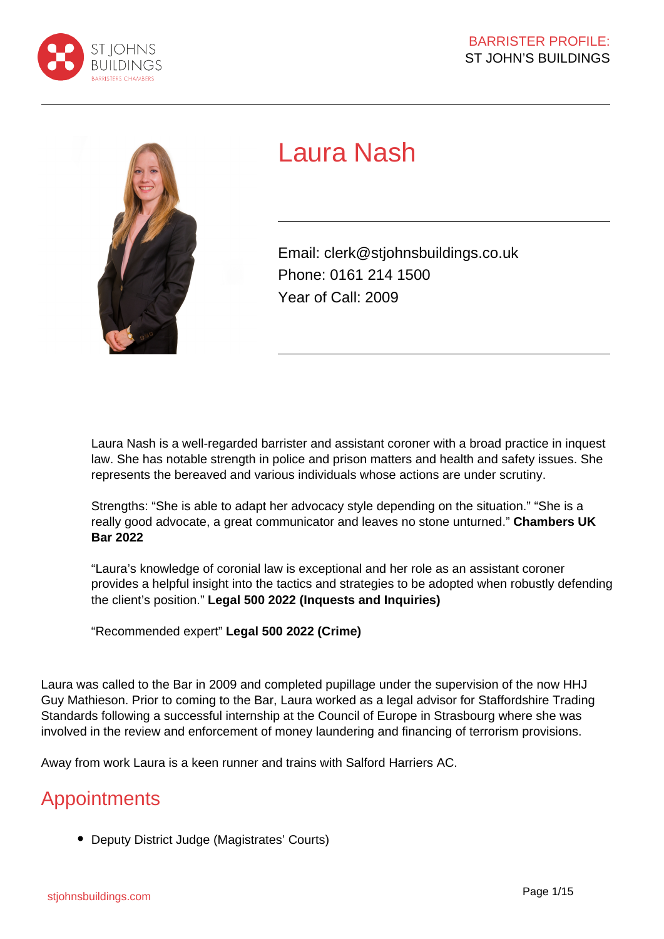



# Laura Nash

Email: clerk@stjohnsbuildings.co.uk Phone: 0161 214 1500 Year of Call: 2009

Laura Nash is a well-regarded barrister and assistant coroner with a broad practice in inquest law. She has notable strength in police and prison matters and health and safety issues. She represents the bereaved and various individuals whose actions are under scrutiny.

Strengths: "She is able to adapt her advocacy style depending on the situation." "She is a really good advocate, a great communicator and leaves no stone unturned." **Chambers UK Bar 2022**

"Laura's knowledge of coronial law is exceptional and her role as an assistant coroner provides a helpful insight into the tactics and strategies to be adopted when robustly defending the client's position." **Legal 500 2022 (Inquests and Inquiries)**

"Recommended expert" **Legal 500 2022 (Crime)**

Laura was called to the Bar in 2009 and completed pupillage under the supervision of the now HHJ Guy Mathieson. Prior to coming to the Bar, Laura worked as a legal advisor for Staffordshire Trading Standards following a successful internship at the Council of Europe in Strasbourg where she was involved in the review and enforcement of money laundering and financing of terrorism provisions.

Away from work Laura is a keen runner and trains with Salford Harriers AC.

# **Appointments**

Deputy District Judge (Magistrates' Courts)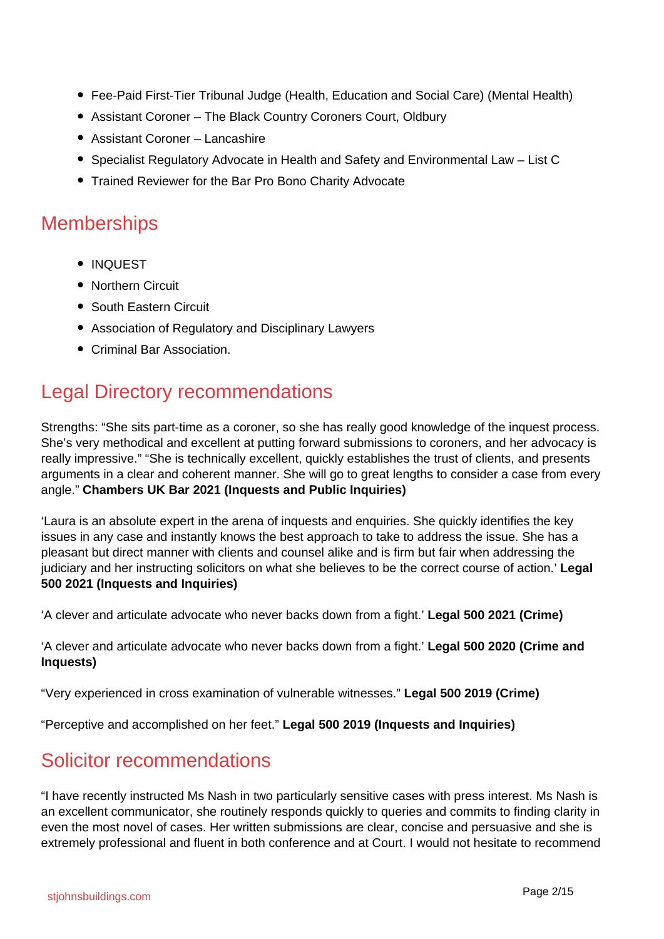- Fee-Paid First-Tier Tribunal Judge (Health, Education and Social Care) (Mental Health)
- Assistant Coroner The Black Country Coroners Court, Oldbury
- Assistant Coroner Lancashire
- Specialist Regulatory Advocate in Health and Safety and Environmental Law List C
- Trained Reviewer for the Bar Pro Bono Charity Advocate

### **Memberships**

- INQUEST
- Northern Circuit
- South Eastern Circuit
- Association of Regulatory and Disciplinary Lawyers
- Criminal Bar Association.

## Legal Directory recommendations

Strengths: "She sits part-time as a coroner, so she has really good knowledge of the inquest process. She's very methodical and excellent at putting forward submissions to coroners, and her advocacy is really impressive." "She is technically excellent, quickly establishes the trust of clients, and presents arguments in a clear and coherent manner. She will go to great lengths to consider a case from every angle." **Chambers UK Bar 2021 (Inquests and Public Inquiries)**

'Laura is an absolute expert in the arena of inquests and enquiries. She quickly identifies the key issues in any case and instantly knows the best approach to take to address the issue. She has a pleasant but direct manner with clients and counsel alike and is firm but fair when addressing the judiciary and her instructing solicitors on what she believes to be the correct course of action.' **Legal 500 2021 (Inquests and Inquiries)**

'A clever and articulate advocate who never backs down from a fight.' **Legal 500 2021 (Crime)**

'A clever and articulate advocate who never backs down from a fight.' **Legal 500 2020 (Crime and Inquests)**

"Very experienced in cross examination of vulnerable witnesses." **Legal 500 2019 (Crime)**

"Perceptive and accomplished on her feet." **Legal 500 2019 (Inquests and Inquiries)**

### Solicitor recommendations

"I have recently instructed Ms Nash in two particularly sensitive cases with press interest. Ms Nash is an excellent communicator, she routinely responds quickly to queries and commits to finding clarity in even the most novel of cases. Her written submissions are clear, concise and persuasive and she is extremely professional and fluent in both conference and at Court. I would not hesitate to recommend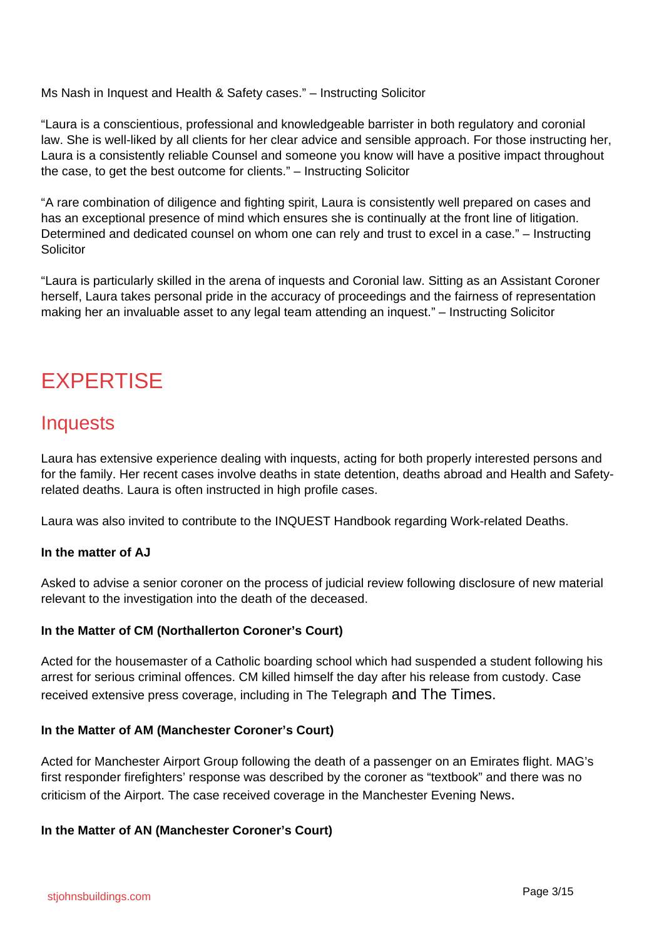Ms Nash in Inquest and Health & Safety cases." – Instructing Solicitor

"Laura is a conscientious, professional and knowledgeable barrister in both regulatory and coronial law. She is well-liked by all clients for her clear advice and sensible approach. For those instructing her, Laura is a consistently reliable Counsel and someone you know will have a positive impact throughout the case, to get the best outcome for clients." – Instructing Solicitor

"A rare combination of diligence and fighting spirit, Laura is consistently well prepared on cases and has an exceptional presence of mind which ensures she is continually at the front line of litigation. Determined and dedicated counsel on whom one can rely and trust to excel in a case." – Instructing **Solicitor** 

"Laura is particularly skilled in the arena of inquests and Coronial law. Sitting as an Assistant Coroner herself, Laura takes personal pride in the accuracy of proceedings and the fairness of representation making her an invaluable asset to any legal team attending an inquest." – Instructing Solicitor

# **EXPERTISE**

### **Inquests**

Laura has extensive experience dealing with inquests, acting for both properly interested persons and for the family. Her recent cases involve deaths in state detention, deaths abroad and Health and Safetyrelated deaths. Laura is often instructed in high profile cases.

Laura was also invited to contribute to the INQUEST Handbook regarding Work-related Deaths.

#### **In the matter of AJ**

Asked to advise a senior coroner on the process of judicial review following disclosure of new material relevant to the investigation into the death of the deceased.

#### **In the Matter of CM (Northallerton Coroner's Court)**

Acted for the housemaster of a Catholic boarding school which had suspended a student following his arrest for serious criminal offences. CM killed himself the day after his release from custody. Case received extensive press coverage, including in The Telegraph and The Times.

#### **In the Matter of AM (Manchester Coroner's Court)**

Acted for Manchester Airport Group following the death of a passenger on an Emirates flight. MAG's first responder firefighters' response was described by the coroner as "textbook" and there was no criticism of the Airport. The case received coverage in the Manchester Evening News.

#### **In the Matter of AN (Manchester Coroner's Court)**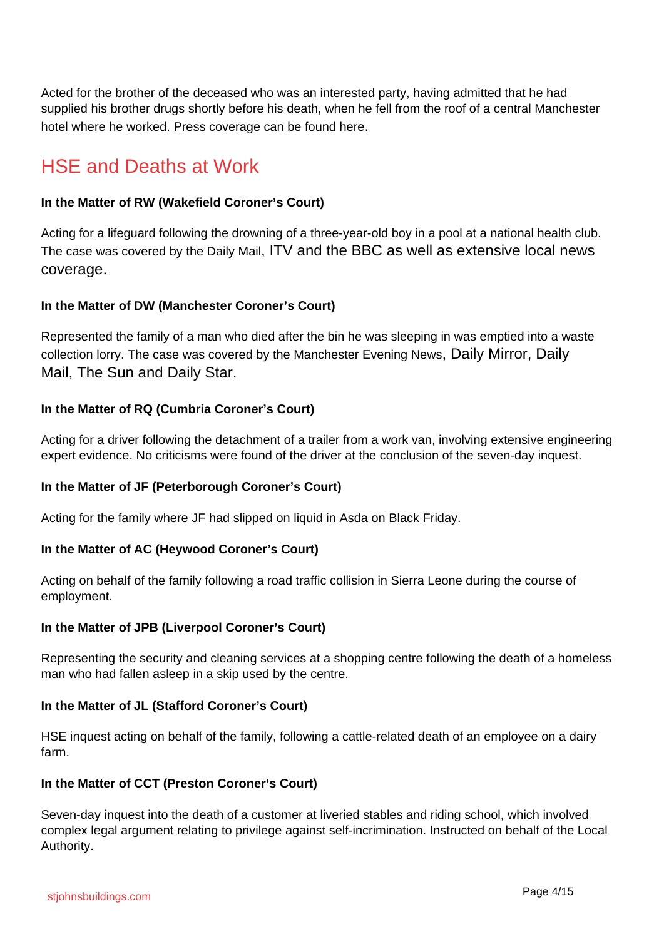Acted for the brother of the deceased who was an interested party, having admitted that he had supplied his brother drugs shortly before his death, when he fell from the roof of a central Manchester hotel where he worked. Press coverage can be found here.

# HSE and Deaths at Work

#### **In the Matter of RW (Wakefield Coroner's Court)**

Acting for a lifeguard following the drowning of a three-year-old boy in a pool at a national health club. The case was covered by the Daily Mail, ITV and the BBC as well as extensive local news coverage.

#### **In the Matter of DW (Manchester Coroner's Court)**

Represented the family of a man who died after the bin he was sleeping in was emptied into a waste collection lorry. The case was covered by the Manchester Evening News, Daily Mirror, Daily Mail, The Sun and Daily Star.

#### **In the Matter of RQ (Cumbria Coroner's Court)**

Acting for a driver following the detachment of a trailer from a work van, involving extensive engineering expert evidence. No criticisms were found of the driver at the conclusion of the seven-day inquest.

#### **In the Matter of JF (Peterborough Coroner's Court)**

Acting for the family where JF had slipped on liquid in Asda on Black Friday.

#### **In the Matter of AC (Heywood Coroner's Court)**

Acting on behalf of the family following a road traffic collision in Sierra Leone during the course of employment.

#### **In the Matter of JPB (Liverpool Coroner's Court)**

Representing the security and cleaning services at a shopping centre following the death of a homeless man who had fallen asleep in a skip used by the centre.

#### **In the Matter of JL (Stafford Coroner's Court)**

HSE inquest acting on behalf of the family, following a cattle-related death of an employee on a dairy farm.

#### **In the Matter of CCT (Preston Coroner's Court)**

Seven-day inquest into the death of a customer at liveried stables and riding school, which involved complex legal argument relating to privilege against self-incrimination. Instructed on behalf of the Local Authority.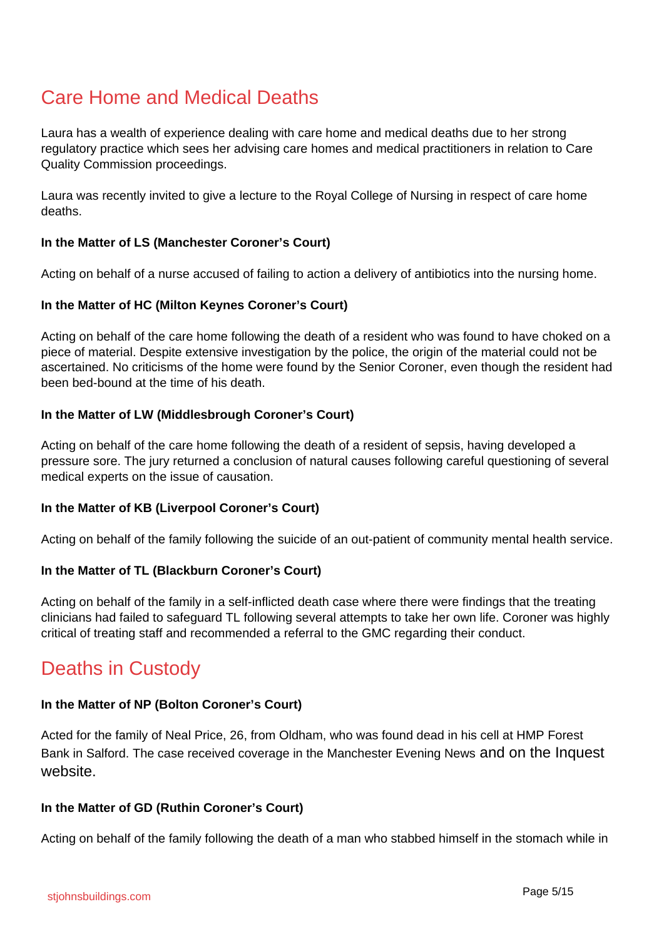# Care Home and Medical Deaths

Laura has a wealth of experience dealing with care home and medical deaths due to her strong regulatory practice which sees her advising care homes and medical practitioners in relation to Care Quality Commission proceedings.

Laura was recently invited to give a lecture to the Royal College of Nursing in respect of care home deaths.

#### **In the Matter of LS (Manchester Coroner's Court)**

Acting on behalf of a nurse accused of failing to action a delivery of antibiotics into the nursing home.

#### **In the Matter of HC (Milton Keynes Coroner's Court)**

Acting on behalf of the care home following the death of a resident who was found to have choked on a piece of material. Despite extensive investigation by the police, the origin of the material could not be ascertained. No criticisms of the home were found by the Senior Coroner, even though the resident had been bed-bound at the time of his death.

#### **In the Matter of LW (Middlesbrough Coroner's Court)**

Acting on behalf of the care home following the death of a resident of sepsis, having developed a pressure sore. The jury returned a conclusion of natural causes following careful questioning of several medical experts on the issue of causation.

#### **In the Matter of KB (Liverpool Coroner's Court)**

Acting on behalf of the family following the suicide of an out-patient of community mental health service.

#### **In the Matter of TL (Blackburn Coroner's Court)**

Acting on behalf of the family in a self-inflicted death case where there were findings that the treating clinicians had failed to safeguard TL following several attempts to take her own life. Coroner was highly critical of treating staff and recommended a referral to the GMC regarding their conduct.

## Deaths in Custody

#### **In the Matter of NP (Bolton Coroner's Court)**

Acted for the family of Neal Price, 26, from Oldham, who was found dead in his cell at HMP Forest Bank in Salford. The case received coverage in the Manchester Evening News and on the Inquest website.

#### **In the Matter of GD (Ruthin Coroner's Court)**

Acting on behalf of the family following the death of a man who stabbed himself in the stomach while in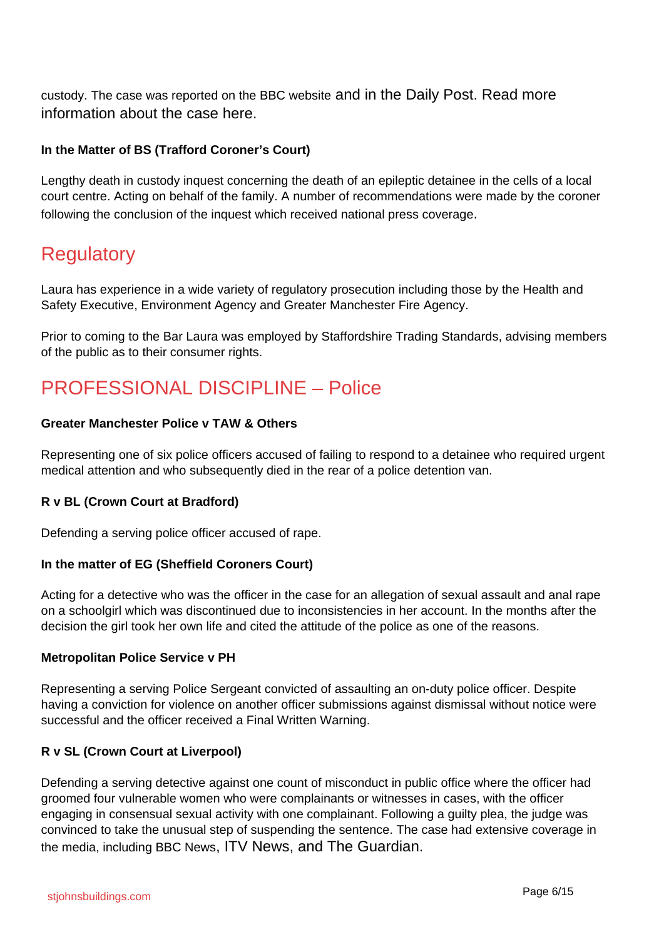custody. The case was reported on the BBC website and in the Daily Post. Read more information about the case here.

#### **In the Matter of BS (Trafford Coroner's Court)**

Lengthy death in custody inquest concerning the death of an epileptic detainee in the cells of a local court centre. Acting on behalf of the family. A number of recommendations were made by the coroner following the conclusion of the inquest which received national press coverage.

## **Regulatory**

Laura has experience in a wide variety of regulatory prosecution including those by the Health and Safety Executive, Environment Agency and Greater Manchester Fire Agency.

Prior to coming to the Bar Laura was employed by Staffordshire Trading Standards, advising members of the public as to their consumer rights.

# PROFESSIONAL DISCIPLINE – Police

#### **Greater Manchester Police v TAW & Others**

Representing one of six police officers accused of failing to respond to a detainee who required urgent medical attention and who subsequently died in the rear of a police detention van.

#### **R v BL (Crown Court at Bradford)**

Defending a serving police officer accused of rape.

#### **In the matter of EG (Sheffield Coroners Court)**

Acting for a detective who was the officer in the case for an allegation of sexual assault and anal rape on a schoolgirl which was discontinued due to inconsistencies in her account. In the months after the decision the girl took her own life and cited the attitude of the police as one of the reasons.

#### **Metropolitan Police Service v PH**

Representing a serving Police Sergeant convicted of assaulting an on-duty police officer. Despite having a conviction for violence on another officer submissions against dismissal without notice were successful and the officer received a Final Written Warning.

#### **R v SL (Crown Court at Liverpool)**

Defending a serving detective against one count of misconduct in public office where the officer had groomed four vulnerable women who were complainants or witnesses in cases, with the officer engaging in consensual sexual activity with one complainant. Following a guilty plea, the judge was convinced to take the unusual step of suspending the sentence. The case had extensive coverage in the media, including BBC News, ITV News, and The Guardian.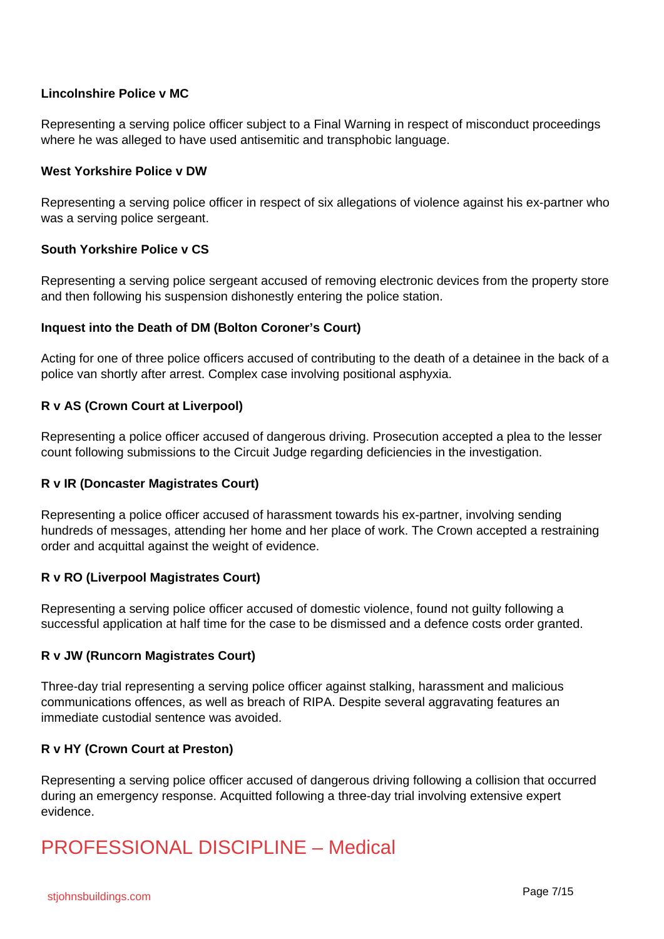#### **Lincolnshire Police v MC**

Representing a serving police officer subject to a Final Warning in respect of misconduct proceedings where he was alleged to have used antisemitic and transphobic language.

#### **West Yorkshire Police v DW**

Representing a serving police officer in respect of six allegations of violence against his ex-partner who was a serving police sergeant.

#### **South Yorkshire Police v CS**

Representing a serving police sergeant accused of removing electronic devices from the property store and then following his suspension dishonestly entering the police station.

#### **Inquest into the Death of DM (Bolton Coroner's Court)**

Acting for one of three police officers accused of contributing to the death of a detainee in the back of a police van shortly after arrest. Complex case involving positional asphyxia.

#### **R v AS (Crown Court at Liverpool)**

Representing a police officer accused of dangerous driving. Prosecution accepted a plea to the lesser count following submissions to the Circuit Judge regarding deficiencies in the investigation.

#### **R v IR (Doncaster Magistrates Court)**

Representing a police officer accused of harassment towards his ex-partner, involving sending hundreds of messages, attending her home and her place of work. The Crown accepted a restraining order and acquittal against the weight of evidence.

#### **R v RO (Liverpool Magistrates Court)**

Representing a serving police officer accused of domestic violence, found not guilty following a successful application at half time for the case to be dismissed and a defence costs order granted.

#### **R v JW (Runcorn Magistrates Court)**

Three-day trial representing a serving police officer against stalking, harassment and malicious communications offences, as well as breach of RIPA. Despite several aggravating features an immediate custodial sentence was avoided.

#### **R v HY (Crown Court at Preston)**

Representing a serving police officer accused of dangerous driving following a collision that occurred during an emergency response. Acquitted following a three-day trial involving extensive expert evidence.

# PROFESSIONAL DISCIPLINE – Medical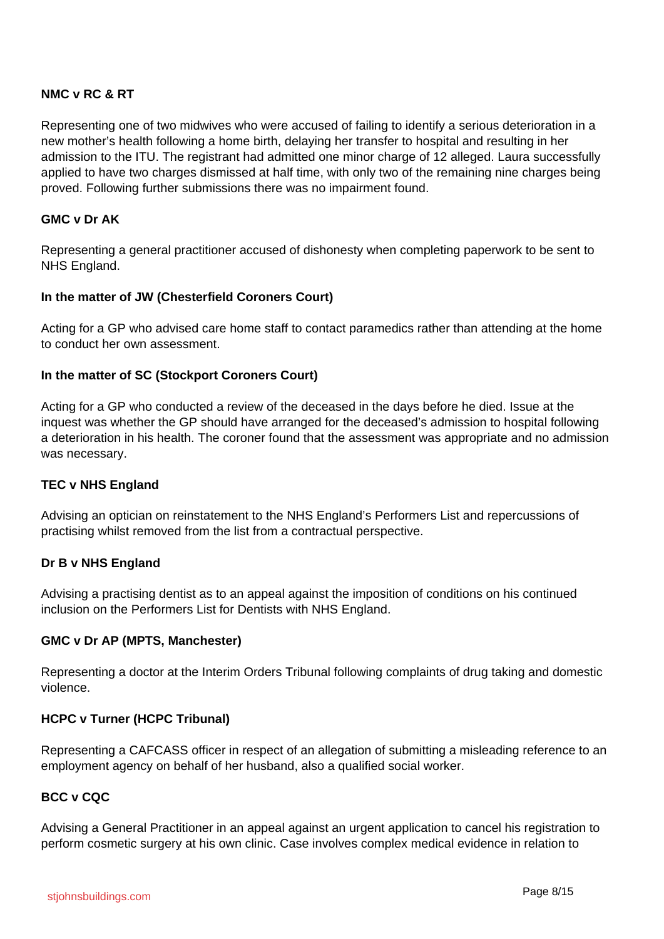#### **NMC v RC & RT**

Representing one of two midwives who were accused of failing to identify a serious deterioration in a new mother's health following a home birth, delaying her transfer to hospital and resulting in her admission to the ITU. The registrant had admitted one minor charge of 12 alleged. Laura successfully applied to have two charges dismissed at half time, with only two of the remaining nine charges being proved. Following further submissions there was no impairment found.

#### **GMC v Dr AK**

Representing a general practitioner accused of dishonesty when completing paperwork to be sent to NHS England.

#### **In the matter of JW (Chesterfield Coroners Court)**

Acting for a GP who advised care home staff to contact paramedics rather than attending at the home to conduct her own assessment.

#### **In the matter of SC (Stockport Coroners Court)**

Acting for a GP who conducted a review of the deceased in the days before he died. Issue at the inquest was whether the GP should have arranged for the deceased's admission to hospital following a deterioration in his health. The coroner found that the assessment was appropriate and no admission was necessary.

#### **TEC v NHS England**

Advising an optician on reinstatement to the NHS England's Performers List and repercussions of practising whilst removed from the list from a contractual perspective.

#### **Dr B v NHS England**

Advising a practising dentist as to an appeal against the imposition of conditions on his continued inclusion on the Performers List for Dentists with NHS England.

#### **GMC v Dr AP (MPTS, Manchester)**

Representing a doctor at the Interim Orders Tribunal following complaints of drug taking and domestic violence.

#### **HCPC v Turner (HCPC Tribunal)**

Representing a CAFCASS officer in respect of an allegation of submitting a misleading reference to an employment agency on behalf of her husband, also a qualified social worker.

#### **BCC v CQC**

Advising a General Practitioner in an appeal against an urgent application to cancel his registration to perform cosmetic surgery at his own clinic. Case involves complex medical evidence in relation to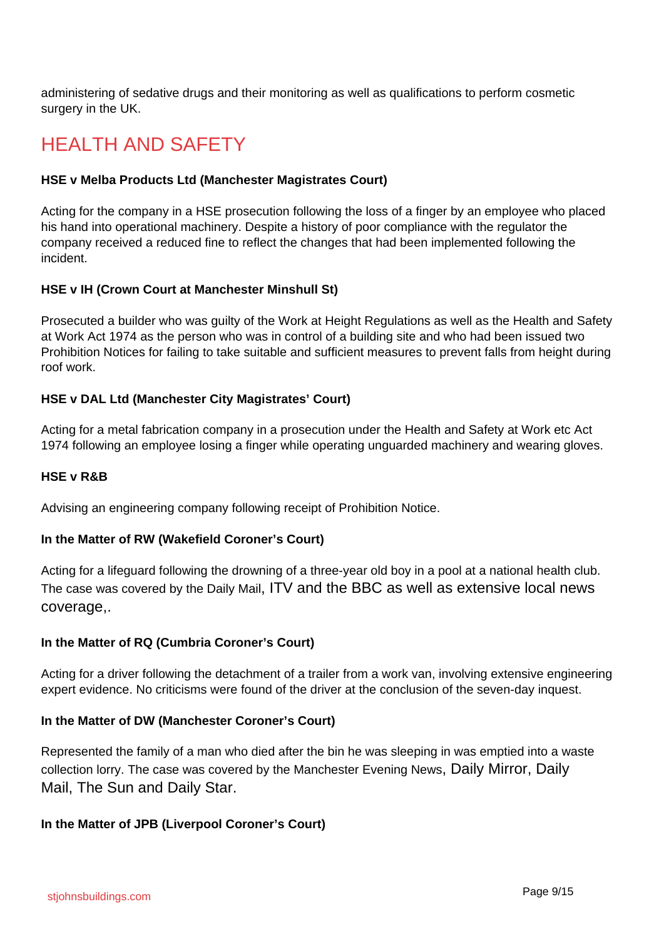administering of sedative drugs and their monitoring as well as qualifications to perform cosmetic surgery in the UK.

# HEALTH AND SAFFTY

#### **HSE v Melba Products Ltd (Manchester Magistrates Court)**

Acting for the company in a HSE prosecution following the loss of a finger by an employee who placed his hand into operational machinery. Despite a history of poor compliance with the regulator the company received a reduced fine to reflect the changes that had been implemented following the incident.

#### **HSE v IH (Crown Court at Manchester Minshull St)**

Prosecuted a builder who was guilty of the Work at Height Regulations as well as the Health and Safety at Work Act 1974 as the person who was in control of a building site and who had been issued two Prohibition Notices for failing to take suitable and sufficient measures to prevent falls from height during roof work.

#### **HSE v DAL Ltd (Manchester City Magistrates' Court)**

Acting for a metal fabrication company in a prosecution under the Health and Safety at Work etc Act 1974 following an employee losing a finger while operating unguarded machinery and wearing gloves.

#### **HSE v R&B**

Advising an engineering company following receipt of Prohibition Notice.

#### **In the Matter of RW (Wakefield Coroner's Court)**

Acting for a lifeguard following the drowning of a three-year old boy in a pool at a national health club. The case was covered by the Daily Mail, ITV and the BBC as well as extensive local news coverage,.

#### **In the Matter of RQ (Cumbria Coroner's Court)**

Acting for a driver following the detachment of a trailer from a work van, involving extensive engineering expert evidence. No criticisms were found of the driver at the conclusion of the seven-day inquest.

#### **In the Matter of DW (Manchester Coroner's Court)**

Represented the family of a man who died after the bin he was sleeping in was emptied into a waste collection lorry. The case was covered by the Manchester Evening News, Daily Mirror, Daily Mail, The Sun and Daily Star.

#### **In the Matter of JPB (Liverpool Coroner's Court)**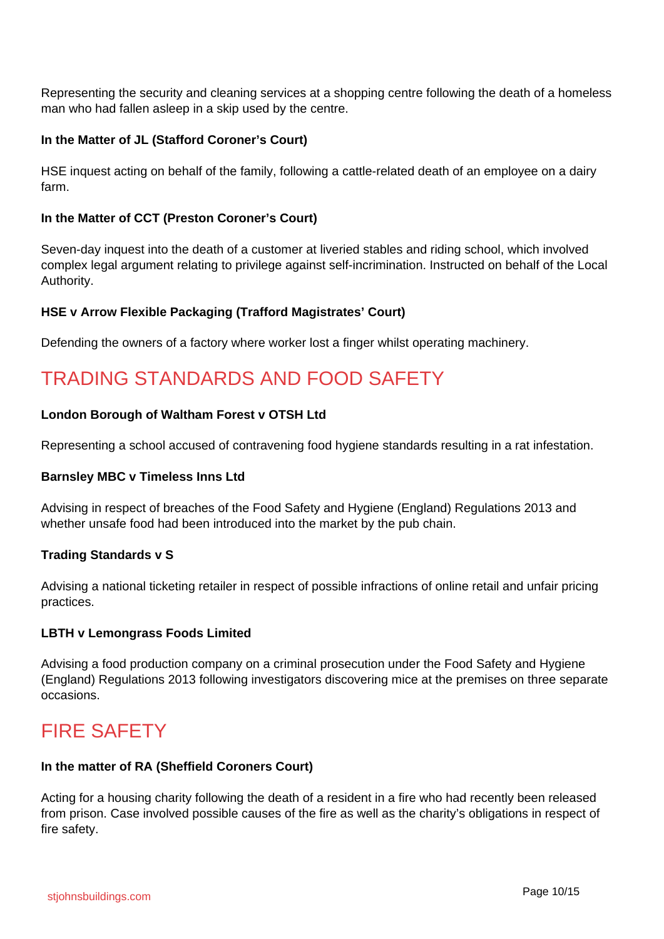Representing the security and cleaning services at a shopping centre following the death of a homeless man who had fallen asleep in a skip used by the centre.

#### **In the Matter of JL (Stafford Coroner's Court)**

HSE inquest acting on behalf of the family, following a cattle-related death of an employee on a dairy farm.

#### **In the Matter of CCT (Preston Coroner's Court)**

Seven-day inquest into the death of a customer at liveried stables and riding school, which involved complex legal argument relating to privilege against self-incrimination. Instructed on behalf of the Local Authority.

#### **HSE v Arrow Flexible Packaging (Trafford Magistrates' Court)**

Defending the owners of a factory where worker lost a finger whilst operating machinery.

# TRADING STANDARDS AND FOOD SAFETY

#### **London Borough of Waltham Forest v OTSH Ltd**

Representing a school accused of contravening food hygiene standards resulting in a rat infestation.

#### **Barnsley MBC v Timeless Inns Ltd**

Advising in respect of breaches of the Food Safety and Hygiene (England) Regulations 2013 and whether unsafe food had been introduced into the market by the pub chain.

#### **Trading Standards v S**

Advising a national ticketing retailer in respect of possible infractions of online retail and unfair pricing practices.

#### **LBTH v Lemongrass Foods Limited**

Advising a food production company on a criminal prosecution under the Food Safety and Hygiene (England) Regulations 2013 following investigators discovering mice at the premises on three separate occasions.

## FIRE SAFETY

#### **In the matter of RA (Sheffield Coroners Court)**

Acting for a housing charity following the death of a resident in a fire who had recently been released from prison. Case involved possible causes of the fire as well as the charity's obligations in respect of fire safety.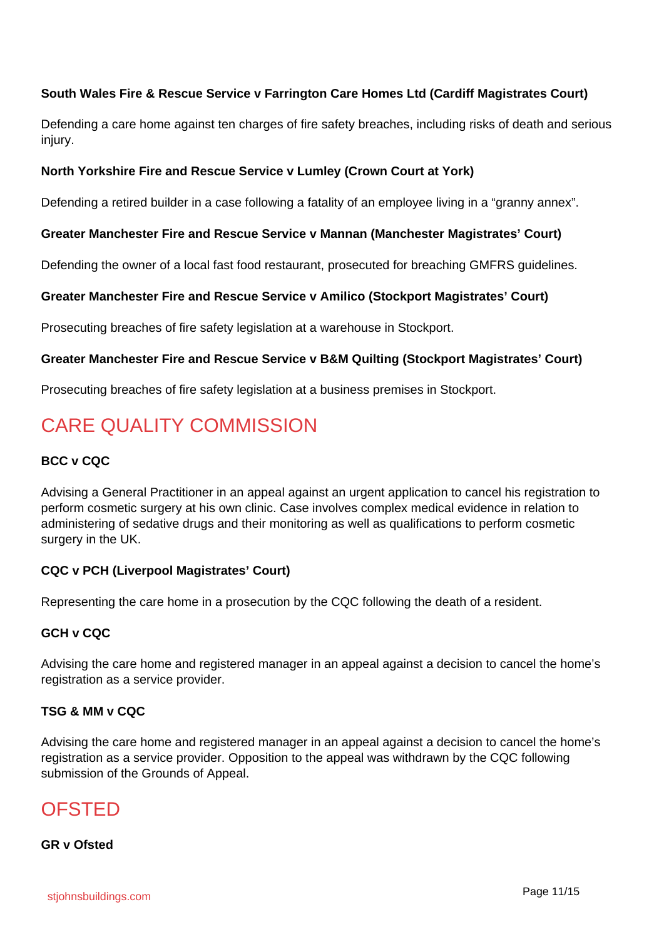#### **South Wales Fire & Rescue Service v Farrington Care Homes Ltd (Cardiff Magistrates Court)**

Defending a care home against ten charges of fire safety breaches, including risks of death and serious injury.

#### **North Yorkshire Fire and Rescue Service v Lumley (Crown Court at York)**

Defending a retired builder in a case following a fatality of an employee living in a "granny annex".

#### **Greater Manchester Fire and Rescue Service v Mannan (Manchester Magistrates' Court)**

Defending the owner of a local fast food restaurant, prosecuted for breaching GMFRS guidelines.

#### **Greater Manchester Fire and Rescue Service v Amilico (Stockport Magistrates' Court)**

Prosecuting breaches of fire safety legislation at a warehouse in Stockport.

#### **Greater Manchester Fire and Rescue Service v B&M Quilting (Stockport Magistrates' Court)**

Prosecuting breaches of fire safety legislation at a business premises in Stockport.

# CARE QUALITY COMMISSION

#### **BCC v CQC**

Advising a General Practitioner in an appeal against an urgent application to cancel his registration to perform cosmetic surgery at his own clinic. Case involves complex medical evidence in relation to administering of sedative drugs and their monitoring as well as qualifications to perform cosmetic surgery in the UK.

#### **CQC v PCH (Liverpool Magistrates' Court)**

Representing the care home in a prosecution by the CQC following the death of a resident.

#### **GCH v CQC**

Advising the care home and registered manager in an appeal against a decision to cancel the home's registration as a service provider.

#### **TSG & MM v CQC**

Advising the care home and registered manager in an appeal against a decision to cancel the home's registration as a service provider. Opposition to the appeal was withdrawn by the CQC following submission of the Grounds of Appeal.

### **OFSTED**

#### **GR v Ofsted**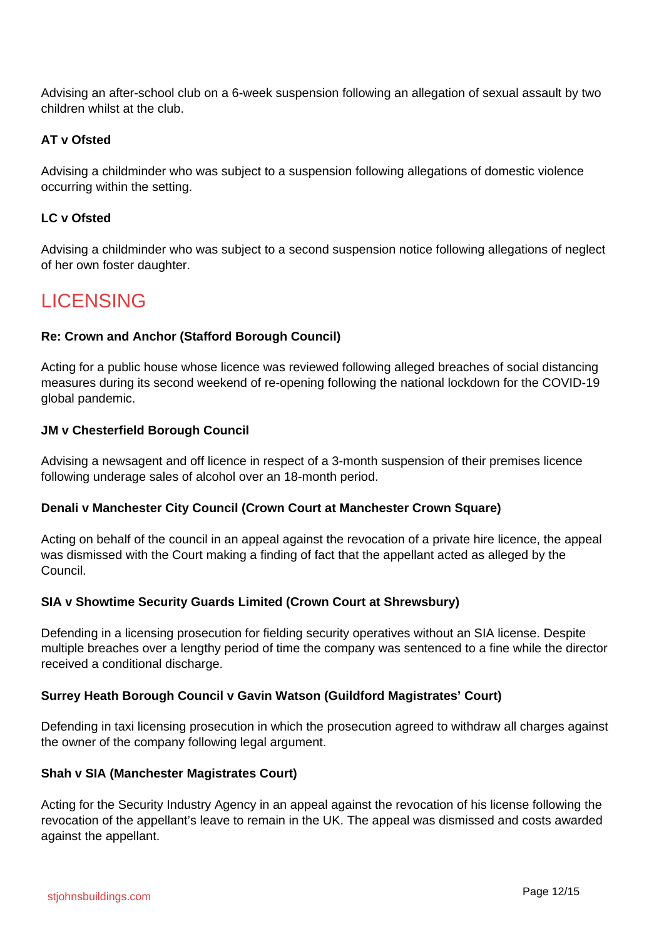Advising an after-school club on a 6-week suspension following an allegation of sexual assault by two children whilst at the club.

#### **AT v Ofsted**

Advising a childminder who was subject to a suspension following allegations of domestic violence occurring within the setting.

#### **LC v Ofsted**

Advising a childminder who was subject to a second suspension notice following allegations of neglect of her own foster daughter.

## LICENSING

#### **Re: Crown and Anchor (Stafford Borough Council)**

Acting for a public house whose licence was reviewed following alleged breaches of social distancing measures during its second weekend of re-opening following the national lockdown for the COVID-19 global pandemic.

#### **JM v Chesterfield Borough Council**

Advising a newsagent and off licence in respect of a 3-month suspension of their premises licence following underage sales of alcohol over an 18-month period.

#### **Denali v Manchester City Council (Crown Court at Manchester Crown Square)**

Acting on behalf of the council in an appeal against the revocation of a private hire licence, the appeal was dismissed with the Court making a finding of fact that the appellant acted as alleged by the Council.

#### **SIA v Showtime Security Guards Limited (Crown Court at Shrewsbury)**

Defending in a licensing prosecution for fielding security operatives without an SIA license. Despite multiple breaches over a lengthy period of time the company was sentenced to a fine while the director received a conditional discharge.

#### **Surrey Heath Borough Council v Gavin Watson (Guildford Magistrates' Court)**

Defending in taxi licensing prosecution in which the prosecution agreed to withdraw all charges against the owner of the company following legal argument.

#### **Shah v SIA (Manchester Magistrates Court)**

Acting for the Security Industry Agency in an appeal against the revocation of his license following the revocation of the appellant's leave to remain in the UK. The appeal was dismissed and costs awarded against the appellant.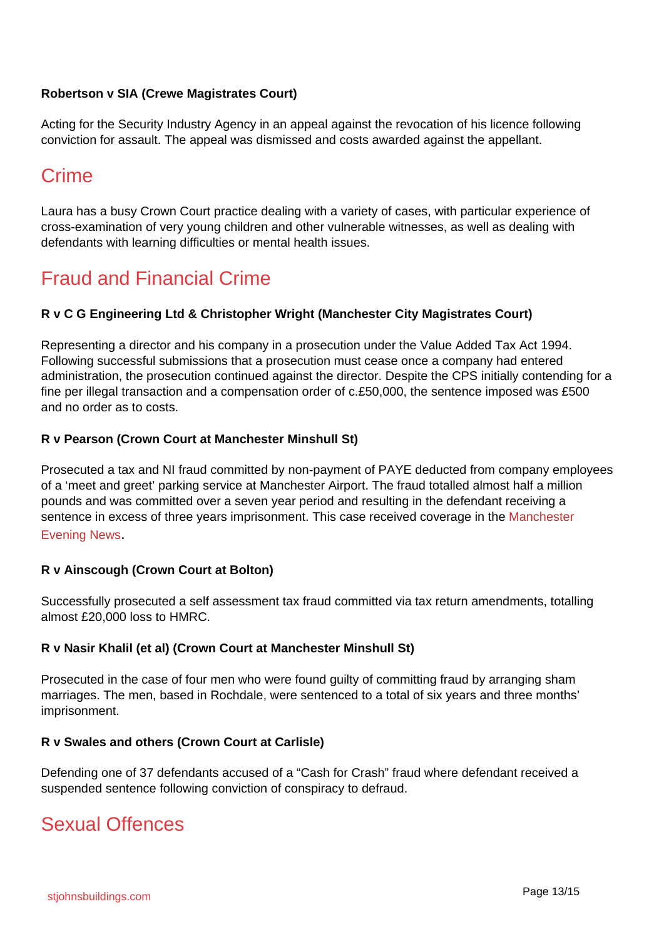#### **Robertson v SIA (Crewe Magistrates Court)**

Acting for the Security Industry Agency in an appeal against the revocation of his licence following conviction for assault. The appeal was dismissed and costs awarded against the appellant.

# Crime

Laura has a busy Crown Court practice dealing with a variety of cases, with particular experience of cross-examination of very young children and other vulnerable witnesses, as well as dealing with defendants with learning difficulties or mental health issues.

# Fraud and Financial Crime

#### **R v C G Engineering Ltd & Christopher Wright (Manchester City Magistrates Court)**

Representing a director and his company in a prosecution under the Value Added Tax Act 1994. Following successful submissions that a prosecution must cease once a company had entered administration, the prosecution continued against the director. Despite the CPS initially contending for a fine per illegal transaction and a compensation order of c.£50,000, the sentence imposed was £500 and no order as to costs.

#### **R v Pearson (Crown Court at Manchester Minshull St)**

Prosecuted a tax and NI fraud committed by non-payment of PAYE deducted from company employees of a 'meet and greet' parking service at Manchester Airport. The fraud totalled almost half a million pounds and was committed over a seven year period and resulting in the defendant receiving a sentence in excess of three years imprisonment. This case received coverage in the Manchester Evening News.

#### **R v Ainscough (Crown Court at Bolton)**

Successfully prosecuted a self assessment tax fraud committed via tax return amendments, totalling almost £20,000 loss to HMRC.

#### **R v Nasir Khalil (et al) (Crown Court at Manchester Minshull St)**

Prosecuted in the case of four men who were found guilty of committing fraud by arranging sham marriages. The men, based in Rochdale, were sentenced to a total of six years and three months' imprisonment.

#### **R v Swales and others (Crown Court at Carlisle)**

Defending one of 37 defendants accused of a "Cash for Crash" fraud where defendant received a suspended sentence following conviction of conspiracy to defraud.

### Sexual Offences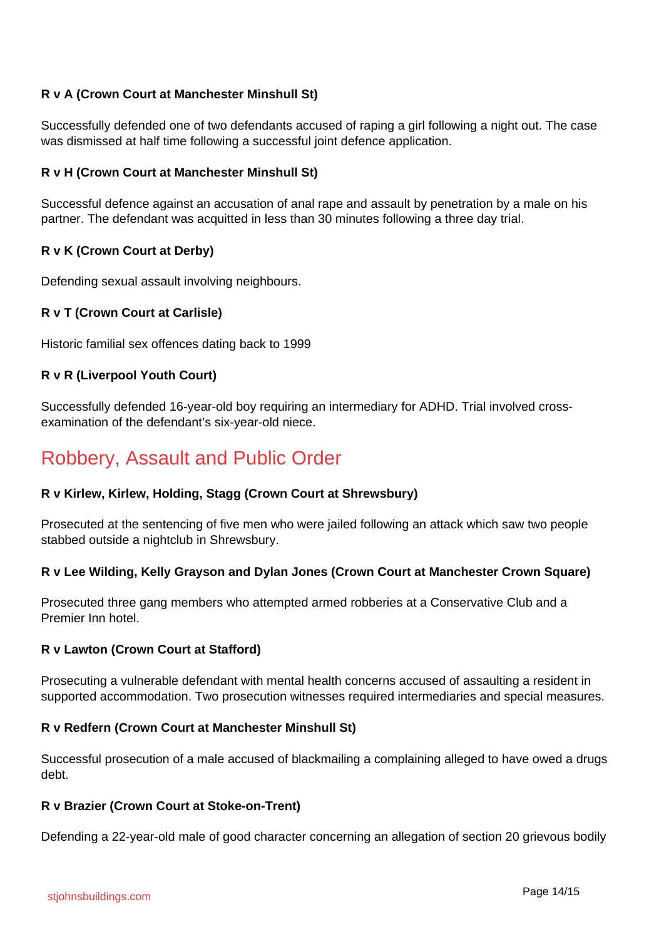#### **R v A (Crown Court at Manchester Minshull St)**

Successfully defended one of two defendants accused of raping a girl following a night out. The case was dismissed at half time following a successful joint defence application.

#### **R v H (Crown Court at Manchester Minshull St)**

Successful defence against an accusation of anal rape and assault by penetration by a male on his partner. The defendant was acquitted in less than 30 minutes following a three day trial.

#### **R v K (Crown Court at Derby)**

Defending sexual assault involving neighbours.

#### **R v T (Crown Court at Carlisle)**

Historic familial sex offences dating back to 1999

#### **R v R (Liverpool Youth Court)**

Successfully defended 16-year-old boy requiring an intermediary for ADHD. Trial involved crossexamination of the defendant's six-year-old niece.

### Robbery, Assault and Public Order

#### **R v Kirlew, Kirlew, Holding, Stagg (Crown Court at Shrewsbury)**

Prosecuted at the sentencing of five men who were jailed following an attack which saw two people stabbed outside a nightclub in Shrewsbury.

#### **R v Lee Wilding, Kelly Grayson and Dylan Jones (Crown Court at Manchester Crown Square)**

Prosecuted three gang members who attempted armed robberies at a Conservative Club and a Premier Inn hotel.

#### **R v Lawton (Crown Court at Stafford)**

Prosecuting a vulnerable defendant with mental health concerns accused of assaulting a resident in supported accommodation. Two prosecution witnesses required intermediaries and special measures.

#### **R v Redfern (Crown Court at Manchester Minshull St)**

Successful prosecution of a male accused of blackmailing a complaining alleged to have owed a drugs debt.

#### **R v Brazier (Crown Court at Stoke-on-Trent)**

Defending a 22-year-old male of good character concerning an allegation of section 20 grievous bodily